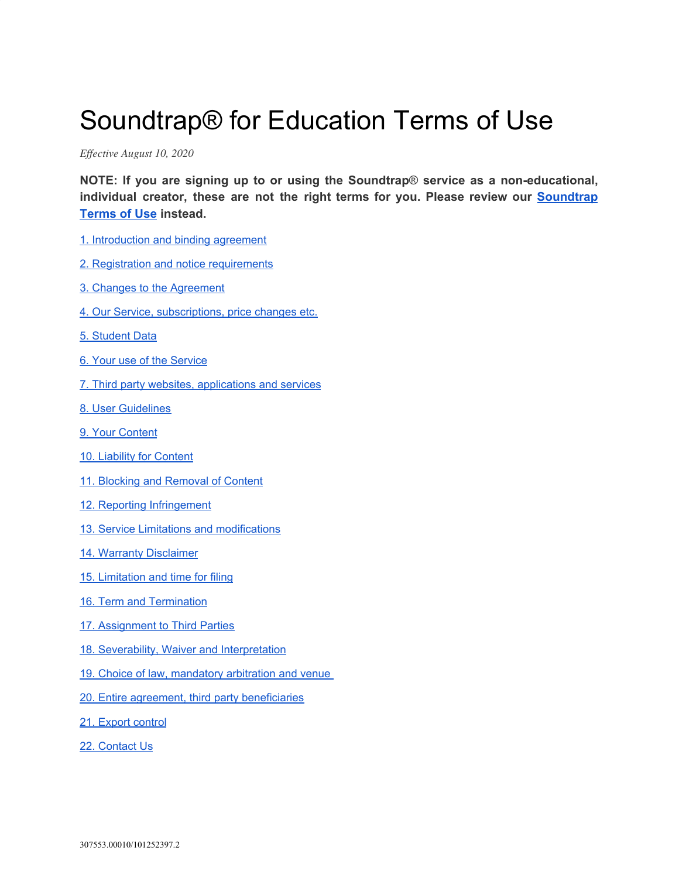# Soundtrap® for Education Terms of Use

*Ef ective August 10, 2020*

**NOTE: If you are signing up to or using the Soundtrap**® **service as a non-educational, individual creator, these are not the right terms for you. Please review our [Soundtrap](https://www.soundtrap.com/legal/terms/us) [Terms](https://www.soundtrap.com/legal/terms/us) of Use instead.**

- 1. [Introduction](#page-1-0) and binding agreement
- 2. Registration and notice [requirements](#page-1-1)
- 3. Changes to the [Agreement](#page-2-0)
- 4. Our Service, [subscriptions,](#page-2-1) price changes etc.
- 5. [Student](#page-4-0) Data
- 6. Your use of the [Service](#page-4-1)
- 7. Third party websites, [applications](#page-5-0) and services
- 8. User [Guidelines](#page-5-1)
- 9. Your [Content](#page-8-0)
- 10. Liability for [Content](#page-8-1)
- 11. Blocking and [Removal](#page-9-0) of Content
- 12. Reporting [Infringement](#page-9-1)
- 13. Service Limitations and [modifications](#page-10-0)
- 14. Warranty [Disclaimer](#page-10-1)
- 15. [Limitation](#page-10-2) and time for filing
- 16. Term and [Termination](#page-12-0)
- 17. [Assignment](#page-13-0) to Third Parties
- 18. Severability, Waiver and [Interpretation](#page-13-1)
- 19. Choice of law, [mandatory](#page-14-0) arbitration and venue
- 20. Entire agreement, third party [beneficiaries](#page-16-0)
- 21. Export [control](#page-16-1)
- 22. [Contact](#page-17-0) Us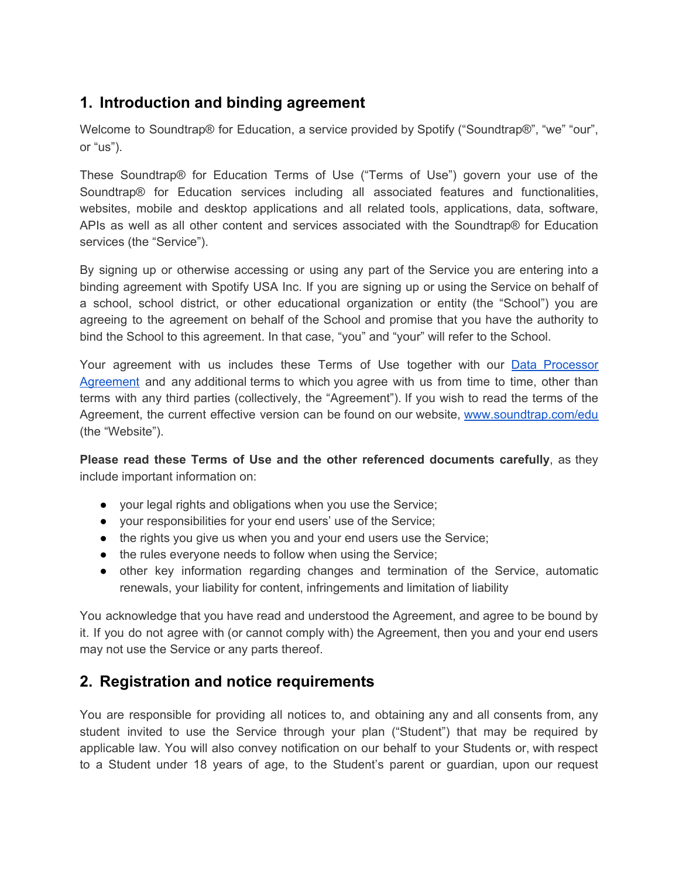## <span id="page-1-0"></span>**1. Introduction and binding agreement**

Welcome to Soundtrap® for Education, a service provided by Spotify ("Soundtrap®", "we" "our", or "us").

These Soundtrap® for Education Terms of Use ("Terms of Use") govern your use of the Soundtrap® for Education services including all associated features and functionalities, websites, mobile and desktop applications and all related tools, applications, data, software, APIs as well as all other content and services associated with the Soundtrap® for Education services (the "Service").

By signing up or otherwise accessing or using any part of the Service you are entering into a binding agreement with Spotify USA Inc. If you are signing up or using the Service on behalf of a school, school district, or other educational organization or entity (the "School") you are agreeing to the agreement on behalf of the School and promise that you have the authority to bind the School to this agreement. In that case, "you" and "your" will refer to the School.

Your agreement with us includes these Terms of Use together with our Data [Processor](https://www.soundtrap.com/public/legal/dpa.pdf) [Agreement](https://www.soundtrap.com/public/legal/dpa.pdf) and any additional terms to which you agree with us from time to time, other than terms with any third parties (collectively, the "Agreement"). If you wish to read the terms of the Agreement, the current effective version can be found on our website, [www.soundtrap.com/edu](http://www.soundtrap.com/edu) (the "Website").

**Please read these Terms of Use and the other referenced documents carefully**, as they include important information on:

- your legal rights and obligations when you use the Service;
- your responsibilities for your end users' use of the Service;
- the rights you give us when you and your end users use the Service;
- the rules everyone needs to follow when using the Service;
- other key information regarding changes and termination of the Service, automatic renewals, your liability for content, infringements and limitation of liability

You acknowledge that you have read and understood the Agreement, and agree to be bound by it. If you do not agree with (or cannot comply with) the Agreement, then you and your end users may not use the Service or any parts thereof.

# <span id="page-1-1"></span>**2. Registration and notice requirements**

You are responsible for providing all notices to, and obtaining any and all consents from, any student invited to use the Service through your plan ("Student") that may be required by applicable law. You will also convey notification on our behalf to your Students or, with respect to a Student under 18 years of age, to the Student's parent or guardian, upon our request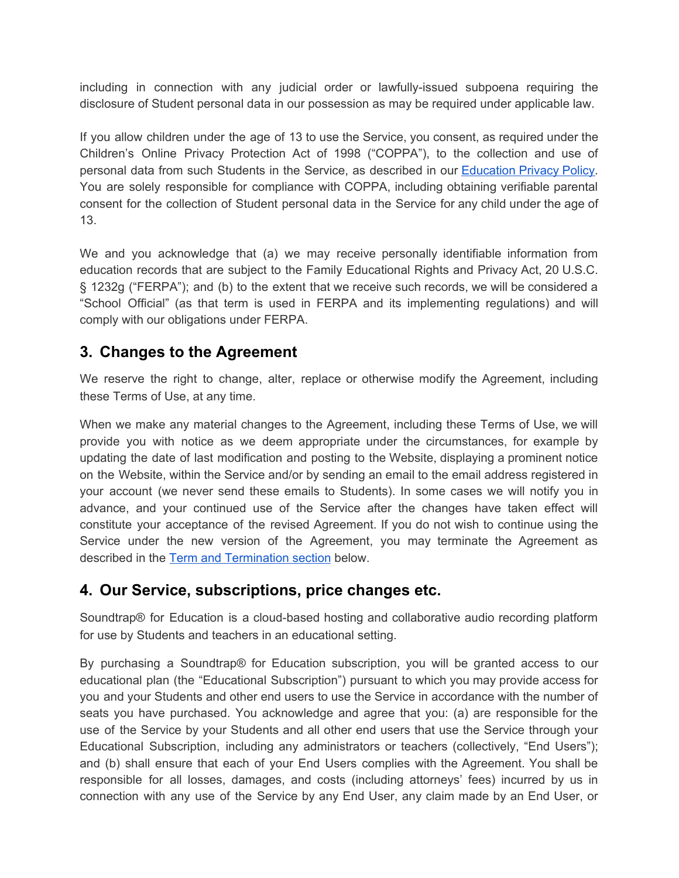including in connection with any judicial order or lawfully-issued subpoena requiring the disclosure of Student personal data in our possession as may be required under applicable law.

If you allow children under the age of 13 to use the Service, you consent, as required under the Children's Online Privacy Protection Act of 1998 ("COPPA"), to the collection and use of personal data from such Students in the Service, as described in our [Education](https://www.soundtrap.com/legal/privacy/edu) Privacy Policy. You are solely responsible for compliance with COPPA, including obtaining verifiable parental consent for the collection of Student personal data in the Service for any child under the age of 13.

We and you acknowledge that (a) we may receive personally identifiable information from education records that are subject to the Family Educational Rights and Privacy Act, 20 U.S.C. § 1232g ("FERPA"); and (b) to the extent that we receive such records, we will be considered a "School Official" (as that term is used in FERPA and its implementing regulations) and will comply with our obligations under FERPA.

## <span id="page-2-0"></span>**3. Changes to the Agreement**

We reserve the right to change, alter, replace or otherwise modify the Agreement, including these Terms of Use, at any time.

When we make any material changes to the Agreement, including these Terms of Use, we will provide you with notice as we deem appropriate under the circumstances, for example by updating the date of last modification and posting to the Website, displaying a prominent notice on the Website, within the Service and/or by sending an email to the email address registered in your account (we never send these emails to Students). In some cases we will notify you in advance, and your continued use of the Service after the changes have taken effect will constitute your acceptance of the revised Agreement. If you do not wish to continue using the Service under the new version of the Agreement, you may terminate the Agreement as described in the Term and [Termination](#page-12-0) section below.

## <span id="page-2-1"></span>**4. Our Service, subscriptions, price changes etc.**

Soundtrap® for Education is a cloud-based hosting and collaborative audio recording platform for use by Students and teachers in an educational setting.

By purchasing a Soundtrap® for Education subscription, you will be granted access to our educational plan (the "Educational Subscription") pursuant to which you may provide access for you and your Students and other end users to use the Service in accordance with the number of seats you have purchased. You acknowledge and agree that you: (a) are responsible for the use of the Service by your Students and all other end users that use the Service through your Educational Subscription, including any administrators or teachers (collectively, "End Users"); and (b) shall ensure that each of your End Users complies with the Agreement. You shall be responsible for all losses, damages, and costs (including attorneys' fees) incurred by us in connection with any use of the Service by any End User, any claim made by an End User, or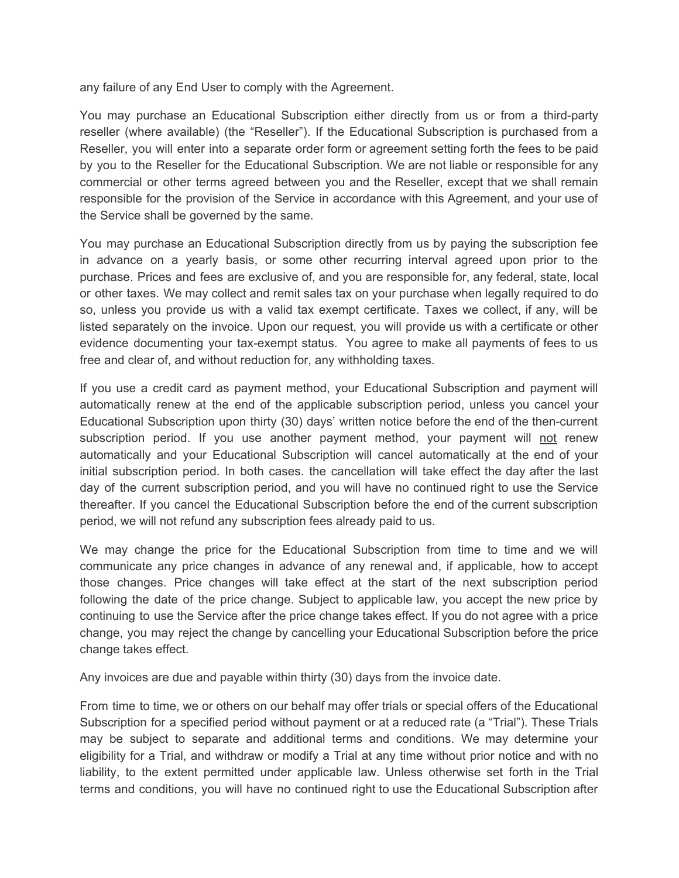any failure of any End User to comply with the Agreement.

You may purchase an Educational Subscription either directly from us or from a third-party reseller (where available) (the "Reseller"). If the Educational Subscription is purchased from a Reseller, you will enter into a separate order form or agreement setting forth the fees to be paid by you to the Reseller for the Educational Subscription. We are not liable or responsible for any commercial or other terms agreed between you and the Reseller, except that we shall remain responsible for the provision of the Service in accordance with this Agreement, and your use of the Service shall be governed by the same.

You may purchase an Educational Subscription directly from us by paying the subscription fee in advance on a yearly basis, or some other recurring interval agreed upon prior to the purchase. Prices and fees are exclusive of, and you are responsible for, any federal, state, local or other taxes. We may collect and remit sales tax on your purchase when legally required to do so, unless you provide us with a valid tax exempt certificate. Taxes we collect, if any, will be listed separately on the invoice. Upon our request, you will provide us with a certificate or other evidence documenting your tax-exempt status. You agree to make all payments of fees to us free and clear of, and without reduction for, any withholding taxes.

If you use a credit card as payment method, your Educational Subscription and payment will automatically renew at the end of the applicable subscription period, unless you cancel your Educational Subscription upon thirty (30) days' written notice before the end of the then-current subscription period. If you use another payment method, your payment will not renew automatically and your Educational Subscription will cancel automatically at the end of your initial subscription period. In both cases. the cancellation will take effect the day after the last day of the current subscription period, and you will have no continued right to use the Service thereafter. If you cancel the Educational Subscription before the end of the current subscription period, we will not refund any subscription fees already paid to us.

We may change the price for the Educational Subscription from time to time and we will communicate any price changes in advance of any renewal and, if applicable, how to accept those changes. Price changes will take effect at the start of the next subscription period following the date of the price change. Subject to applicable law, you accept the new price by continuing to use the Service after the price change takes effect. If you do not agree with a price change, you may reject the change by cancelling your Educational Subscription before the price change takes effect.

Any invoices are due and payable within thirty (30) days from the invoice date.

From time to time, we or others on our behalf may offer trials or special offers of the Educational Subscription for a specified period without payment or at a reduced rate (a "Trial"). These Trials may be subject to separate and additional terms and conditions. We may determine your eligibility for a Trial, and withdraw or modify a Trial at any time without prior notice and with no liability, to the extent permitted under applicable law. Unless otherwise set forth in the Trial terms and conditions, you will have no continued right to use the Educational Subscription after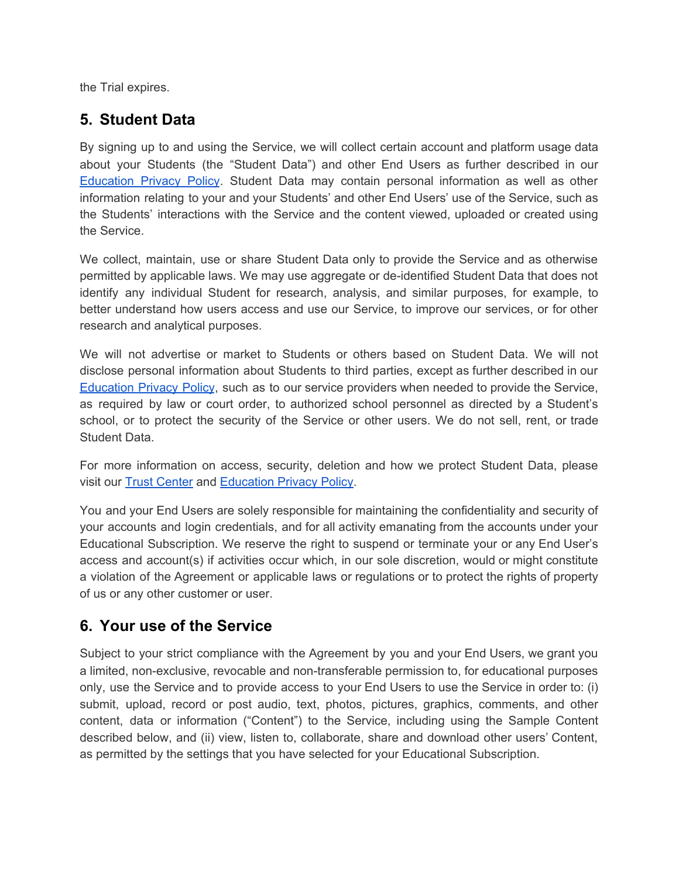the Trial expires.

## <span id="page-4-0"></span>**5. Student Data**

By signing up to and using the Service, we will collect certain account and platform usage data about your Students (the "Student Data") and other End Users as further described in our [Education](https://www.soundtrap.com/legal/privacy/edu) Privacy Policy. Student Data may contain personal information as well as other information relating to your and your Students' and other End Users' use of the Service, such as the Students' interactions with the Service and the content viewed, uploaded or created using the Service.

We collect, maintain, use or share Student Data only to provide the Service and as otherwise permitted by applicable laws. We may use aggregate or de-identified Student Data that does not identify any individual Student for research, analysis, and similar purposes, for example, to better understand how users access and use our Service, to improve our services, or for other research and analytical purposes.

We will not advertise or market to Students or others based on Student Data. We will not disclose personal information about Students to third parties, except as further described in our [Education](https://www.soundtrap.com/legal/privacy/edu) Privacy Policy, such as to our service providers when needed to provide the Service, as required by law or court order, to authorized school personnel as directed by a Student's school, or to protect the security of the Service or other users. We do not sell, rent, or trade Student Data.

For more information on access, security, deletion and how we protect Student Data, please visit our Trust [Center](https://www.soundtrap.com/legal/trust-center) and [Education](https://www.soundtrap.com/legal/privacy/edu) Privacy Policy.

You and your End Users are solely responsible for maintaining the confidentiality and security of your accounts and login credentials, and for all activity emanating from the accounts under your Educational Subscription. We reserve the right to suspend or terminate your or any End User's access and account(s) if activities occur which, in our sole discretion, would or might constitute a violation of the Agreement or applicable laws or regulations or to protect the rights of property of us or any other customer or user.

## <span id="page-4-1"></span>**6. Your use of the Service**

Subject to your strict compliance with the Agreement by you and your End Users, we grant you a limited, non-exclusive, revocable and non-transferable permission to, for educational purposes only, use the Service and to provide access to your End Users to use the Service in order to: (i) submit, upload, record or post audio, text, photos, pictures, graphics, comments, and other content, data or information ("Content") to the Service, including using the Sample Content described below, and (ii) view, listen to, collaborate, share and download other users' Content, as permitted by the settings that you have selected for your Educational Subscription.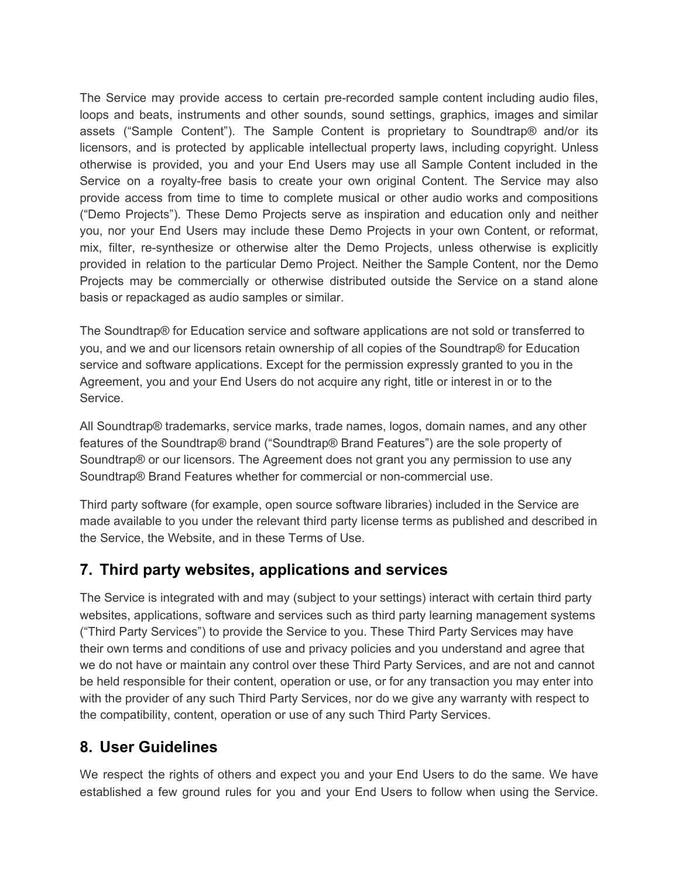The Service may provide access to certain pre-recorded sample content including audio files, loops and beats, instruments and other sounds, sound settings, graphics, images and similar assets ("Sample Content"). The Sample Content is proprietary to Soundtrap® and/or its licensors, and is protected by applicable intellectual property laws, including copyright. Unless otherwise is provided, you and your End Users may use all Sample Content included in the Service on a royalty-free basis to create your own original Content. The Service may also provide access from time to time to complete musical or other audio works and compositions ("Demo Projects"). These Demo Projects serve as inspiration and education only and neither you, nor your End Users may include these Demo Projects in your own Content, or reformat, mix, filter, re-synthesize or otherwise alter the Demo Projects, unless otherwise is explicitly provided in relation to the particular Demo Project. Neither the Sample Content, nor the Demo Projects may be commercially or otherwise distributed outside the Service on a stand alone basis or repackaged as audio samples or similar.

The Soundtrap® for Education service and software applications are not sold or transferred to you, and we and our licensors retain ownership of all copies of the Soundtrap® for Education service and software applications. Except for the permission expressly granted to you in the Agreement, you and your End Users do not acquire any right, title or interest in or to the Service.

All Soundtrap® trademarks, service marks, trade names, logos, domain names, and any other features of the Soundtrap® brand ("Soundtrap® Brand Features") are the sole property of Soundtrap® or our licensors. The Agreement does not grant you any permission to use any Soundtrap® Brand Features whether for commercial or non-commercial use.

Third party software (for example, open source software libraries) included in the Service are made available to you under the relevant third party license terms as published and described in the Service, the Website, and in these Terms of Use.

## <span id="page-5-0"></span>**7. Third party websites, applications and services**

The Service is integrated with and may (subject to your settings) interact with certain third party websites, applications, software and services such as third party learning management systems ("Third Party Services") to provide the Service to you. These Third Party Services may have their own terms and conditions of use and privacy policies and you understand and agree that we do not have or maintain any control over these Third Party Services, and are not and cannot be held responsible for their content, operation or use, or for any transaction you may enter into with the provider of any such Third Party Services, nor do we give any warranty with respect to the compatibility, content, operation or use of any such Third Party Services.

# <span id="page-5-1"></span>**8. User Guidelines**

We respect the rights of others and expect you and your End Users to do the same. We have established a few ground rules for you and your End Users to follow when using the Service.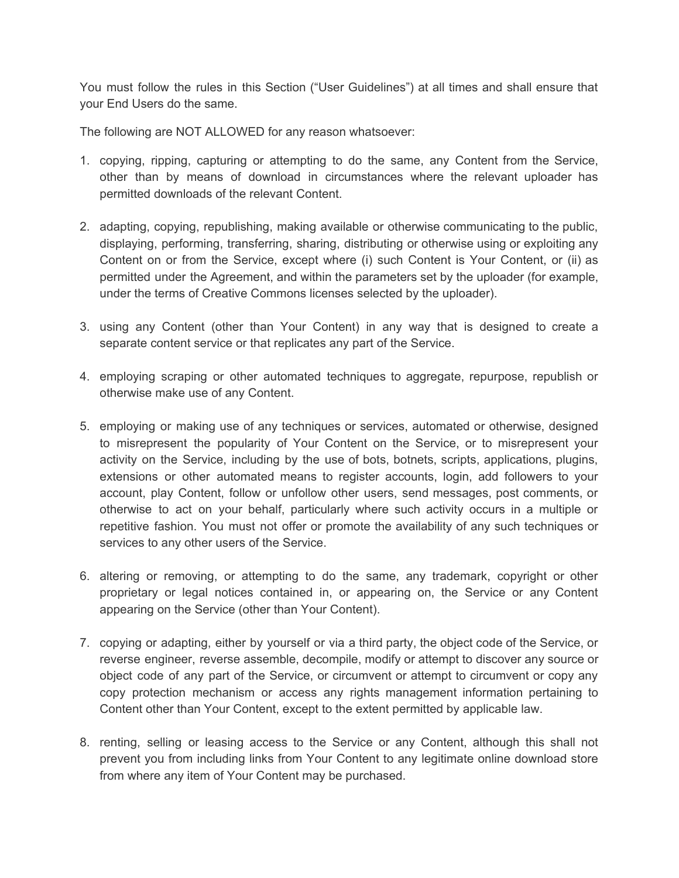You must follow the rules in this Section ("User Guidelines") at all times and shall ensure that your End Users do the same.

The following are NOT ALLOWED for any reason whatsoever:

- 1. copying, ripping, capturing or attempting to do the same, any Content from the Service, other than by means of download in circumstances where the relevant uploader has permitted downloads of the relevant Content.
- 2. adapting, copying, republishing, making available or otherwise communicating to the public, displaying, performing, transferring, sharing, distributing or otherwise using or exploiting any Content on or from the Service, except where (i) such Content is Your Content, or (ii) as permitted under the Agreement, and within the parameters set by the uploader (for example, under the terms of Creative Commons licenses selected by the uploader).
- 3. using any Content (other than Your Content) in any way that is designed to create a separate content service or that replicates any part of the Service.
- 4. employing scraping or other automated techniques to aggregate, repurpose, republish or otherwise make use of any Content.
- 5. employing or making use of any techniques or services, automated or otherwise, designed to misrepresent the popularity of Your Content on the Service, or to misrepresent your activity on the Service, including by the use of bots, botnets, scripts, applications, plugins, extensions or other automated means to register accounts, login, add followers to your account, play Content, follow or unfollow other users, send messages, post comments, or otherwise to act on your behalf, particularly where such activity occurs in a multiple or repetitive fashion. You must not offer or promote the availability of any such techniques or services to any other users of the Service.
- 6. altering or removing, or attempting to do the same, any trademark, copyright or other proprietary or legal notices contained in, or appearing on, the Service or any Content appearing on the Service (other than Your Content).
- 7. copying or adapting, either by yourself or via a third party, the object code of the Service, or reverse engineer, reverse assemble, decompile, modify or attempt to discover any source or object code of any part of the Service, or circumvent or attempt to circumvent or copy any copy protection mechanism or access any rights management information pertaining to Content other than Your Content, except to the extent permitted by applicable law.
- 8. renting, selling or leasing access to the Service or any Content, although this shall not prevent you from including links from Your Content to any legitimate online download store from where any item of Your Content may be purchased.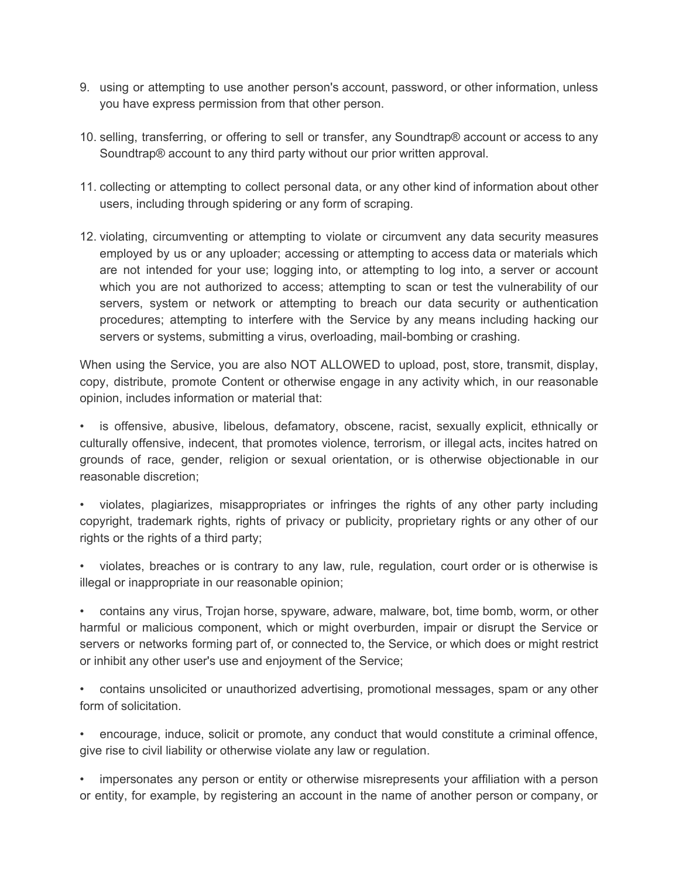- 9. using or attempting to use another person's account, password, or other information, unless you have express permission from that other person.
- 10. selling, transferring, or offering to sell or transfer, any Soundtrap® account or access to any Soundtrap® account to any third party without our prior written approval.
- 11. collecting or attempting to collect personal data, or any other kind of information about other users, including through spidering or any form of scraping.
- 12. violating, circumventing or attempting to violate or circumvent any data security measures employed by us or any uploader; accessing or attempting to access data or materials which are not intended for your use; logging into, or attempting to log into, a server or account which you are not authorized to access; attempting to scan or test the vulnerability of our servers, system or network or attempting to breach our data security or authentication procedures; attempting to interfere with the Service by any means including hacking our servers or systems, submitting a virus, overloading, mail-bombing or crashing.

When using the Service, you are also NOT ALLOWED to upload, post, store, transmit, display, copy, distribute, promote Content or otherwise engage in any activity which, in our reasonable opinion, includes information or material that:

• is offensive, abusive, libelous, defamatory, obscene, racist, sexually explicit, ethnically or culturally offensive, indecent, that promotes violence, terrorism, or illegal acts, incites hatred on grounds of race, gender, religion or sexual orientation, or is otherwise objectionable in our reasonable discretion;

• violates, plagiarizes, misappropriates or infringes the rights of any other party including copyright, trademark rights, rights of privacy or publicity, proprietary rights or any other of our rights or the rights of a third party;

• violates, breaches or is contrary to any law, rule, regulation, court order or is otherwise is illegal or inappropriate in our reasonable opinion;

• contains any virus, Trojan horse, spyware, adware, malware, bot, time bomb, worm, or other harmful or malicious component, which or might overburden, impair or disrupt the Service or servers or networks forming part of, or connected to, the Service, or which does or might restrict or inhibit any other user's use and enjoyment of the Service;

• contains unsolicited or unauthorized advertising, promotional messages, spam or any other form of solicitation.

• encourage, induce, solicit or promote, any conduct that would constitute a criminal offence, give rise to civil liability or otherwise violate any law or regulation.

• impersonates any person or entity or otherwise misrepresents your affiliation with a person or entity, for example, by registering an account in the name of another person or company, or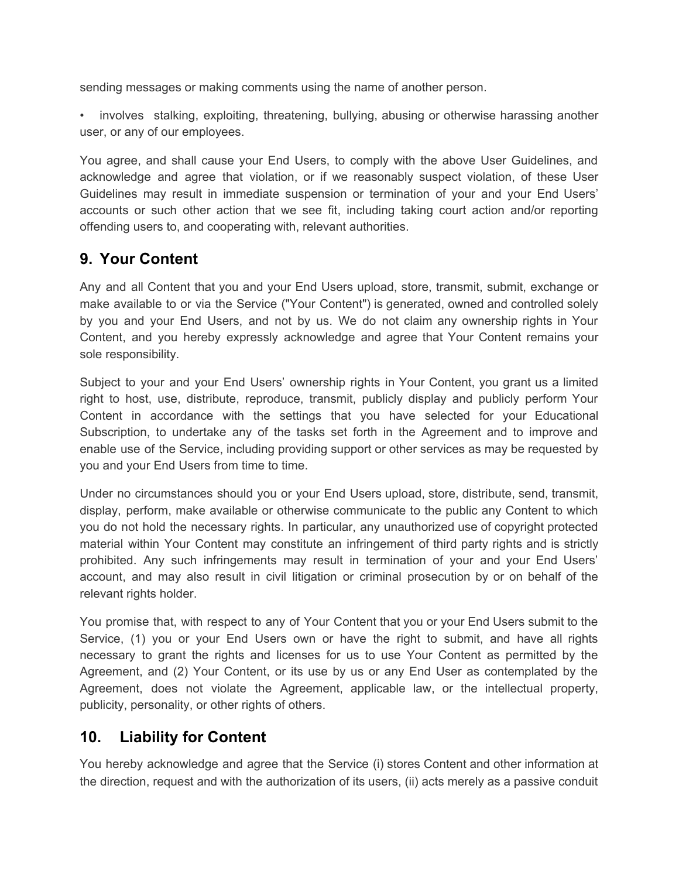sending messages or making comments using the name of another person.

involves stalking, exploiting, threatening, bullying, abusing or otherwise harassing another user, or any of our employees.

You agree, and shall cause your End Users, to comply with the above User Guidelines, and acknowledge and agree that violation, or if we reasonably suspect violation, of these User Guidelines may result in immediate suspension or termination of your and your End Users' accounts or such other action that we see fit, including taking court action and/or reporting offending users to, and cooperating with, relevant authorities.

## <span id="page-8-0"></span>**9. Your Content**

Any and all Content that you and your End Users upload, store, transmit, submit, exchange or make available to or via the Service ("Your Content") is generated, owned and controlled solely by you and your End Users, and not by us. We do not claim any ownership rights in Your Content, and you hereby expressly acknowledge and agree that Your Content remains your sole responsibility.

Subject to your and your End Users' ownership rights in Your Content, you grant us a limited right to host, use, distribute, reproduce, transmit, publicly display and publicly perform Your Content in accordance with the settings that you have selected for your Educational Subscription, to undertake any of the tasks set forth in the Agreement and to improve and enable use of the Service, including providing support or other services as may be requested by you and your End Users from time to time.

Under no circumstances should you or your End Users upload, store, distribute, send, transmit, display, perform, make available or otherwise communicate to the public any Content to which you do not hold the necessary rights. In particular, any unauthorized use of copyright protected material within Your Content may constitute an infringement of third party rights and is strictly prohibited. Any such infringements may result in termination of your and your End Users' account, and may also result in civil litigation or criminal prosecution by or on behalf of the relevant rights holder.

You promise that, with respect to any of Your Content that you or your End Users submit to the Service, (1) you or your End Users own or have the right to submit, and have all rights necessary to grant the rights and licenses for us to use Your Content as permitted by the Agreement, and (2) Your Content, or its use by us or any End User as contemplated by the Agreement, does not violate the Agreement, applicable law, or the intellectual property, publicity, personality, or other rights of others.

## <span id="page-8-1"></span>**10. Liability for Content**

You hereby acknowledge and agree that the Service (i) stores Content and other information at the direction, request and with the authorization of its users, (ii) acts merely as a passive conduit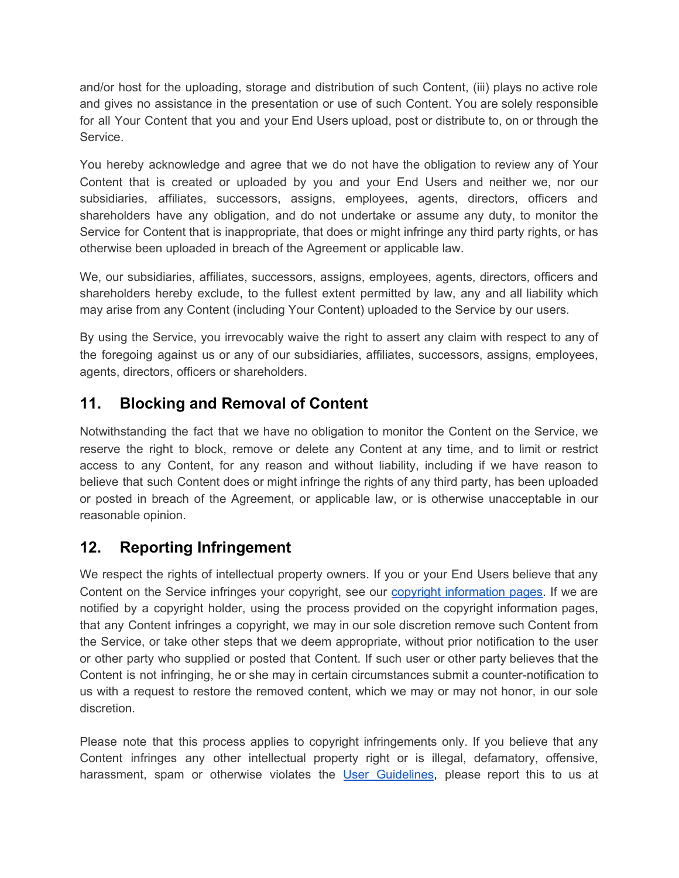and/or host for the uploading, storage and distribution of such Content, (iii) plays no active role and gives no assistance in the presentation or use of such Content. You are solely responsible for all Your Content that you and your End Users upload, post or distribute to, on or through the Service.

You hereby acknowledge and agree that we do not have the obligation to review any of Your Content that is created or uploaded by you and your End Users and neither we, nor our subsidiaries, affiliates, successors, assigns, employees, agents, directors, officers and shareholders have any obligation, and do not undertake or assume any duty, to monitor the Service for Content that is inappropriate, that does or might infringe any third party rights, or has otherwise been uploaded in breach of the Agreement or applicable law.

We, our subsidiaries, affiliates, successors, assigns, employees, agents, directors, officers and shareholders hereby exclude, to the fullest extent permitted by law, any and all liability which may arise from any Content (including Your Content) uploaded to the Service by our users.

By using the Service, you irrevocably waive the right to assert any claim with respect to any of the foregoing against us or any of our subsidiaries, affiliates, successors, assigns, employees, agents, directors, officers or shareholders.

# <span id="page-9-0"></span>**11. Blocking and Removal of Content**

Notwithstanding the fact that we have no obligation to monitor the Content on the Service, we reserve the right to block, remove or delete any Content at any time, and to limit or restrict access to any Content, for any reason and without liability, including if we have reason to believe that such Content does or might infringe the rights of any third party, has been uploaded or posted in breach of the Agreement, or applicable law, or is otherwise unacceptable in our reasonable opinion.

# <span id="page-9-1"></span>**12. Reporting Infringement**

We respect the rights of intellectual property owners. If you or your End Users believe that any Content on the Service infringes your copyright, see our copyright [information](https://www.soundtrap.com/copyright/) pages. If we are notified by a copyright holder, using the process provided on the copyright information pages, that any Content infringes a copyright, we may in our sole discretion remove such Content from the Service, or take other steps that we deem appropriate, without prior notification to the user or other party who supplied or posted that Content. If such user or other party believes that the Content is not infringing, he or she may in certain circumstances submit a counter-notification to us with a request to restore the removed content, which we may or may not honor, in our sole discretion.

Please note that this process applies to copyright infringements only. If you believe that any Content infringes any other intellectual property right or is illegal, defamatory, offensive, harassment, spam or otherwise violates the User [Guidelines,](#page-5-1) please report this to us at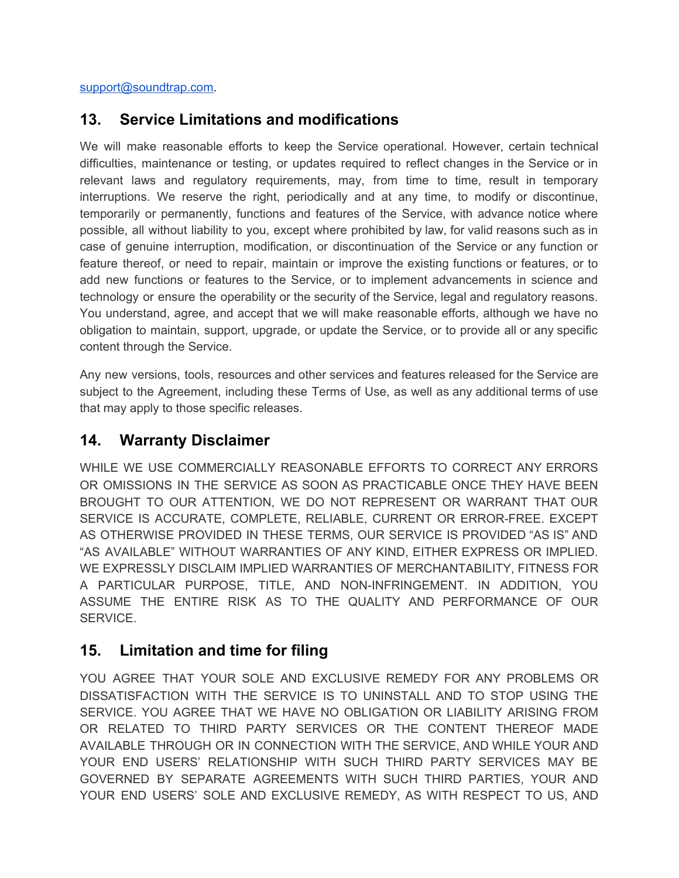[support@soundtrap.com.](mailto:support@soundtrap.com)

## <span id="page-10-0"></span>**13. Service Limitations and modifications**

We will make reasonable efforts to keep the Service operational. However, certain technical difficulties, maintenance or testing, or updates required to reflect changes in the Service or in relevant laws and regulatory requirements, may, from time to time, result in temporary interruptions. We reserve the right, periodically and at any time, to modify or discontinue, temporarily or permanently, functions and features of the Service, with advance notice where possible, all without liability to you, except where prohibited by law, for valid reasons such as in case of genuine interruption, modification, or discontinuation of the Service or any function or feature thereof, or need to repair, maintain or improve the existing functions or features, or to add new functions or features to the Service, or to implement advancements in science and technology or ensure the operability or the security of the Service, legal and regulatory reasons. You understand, agree, and accept that we will make reasonable efforts, although we have no obligation to maintain, support, upgrade, or update the Service, or to provide all or any specific content through the Service.

Any new versions, tools, resources and other services and features released for the Service are subject to the Agreement, including these Terms of Use, as well as any additional terms of use that may apply to those specific releases.

## <span id="page-10-1"></span>**14. Warranty Disclaimer**

WHILE WE USE COMMERCIALLY REASONABLE EFFORTS TO CORRECT ANY ERRORS OR OMISSIONS IN THE SERVICE AS SOON AS PRACTICABLE ONCE THEY HAVE BEEN BROUGHT TO OUR ATTENTION, WE DO NOT REPRESENT OR WARRANT THAT OUR SERVICE IS ACCURATE, COMPLETE, RELIABLE, CURRENT OR ERROR-FREE. EXCEPT AS OTHERWISE PROVIDED IN THESE TERMS, OUR SERVICE IS PROVIDED "AS IS" AND "AS AVAILABLE" WITHOUT WARRANTIES OF ANY KIND, EITHER EXPRESS OR IMPLIED. WE EXPRESSLY DISCLAIM IMPLIED WARRANTIES OF MERCHANTABILITY, FITNESS FOR A PARTICULAR PURPOSE, TITLE, AND NON-INFRINGEMENT. IN ADDITION, YOU ASSUME THE ENTIRE RISK AS TO THE QUALITY AND PERFORMANCE OF OUR SERVICE.

## <span id="page-10-2"></span>**15. Limitation and time for filing**

YOU AGREE THAT YOUR SOLE AND EXCLUSIVE REMEDY FOR ANY PROBLEMS OR DISSATISFACTION WITH THE SERVICE IS TO UNINSTALL AND TO STOP USING THE SERVICE. YOU AGREE THAT WE HAVE NO OBLIGATION OR LIABILITY ARISING FROM OR RELATED TO THIRD PARTY SERVICES OR THE CONTENT THEREOF MADE AVAILABLE THROUGH OR IN CONNECTION WITH THE SERVICE, AND WHILE YOUR AND YOUR END USERS' RELATIONSHIP WITH SUCH THIRD PARTY SERVICES MAY BE GOVERNED BY SEPARATE AGREEMENTS WITH SUCH THIRD PARTIES, YOUR AND YOUR END USERS' SOLE AND EXCLUSIVE REMEDY, AS WITH RESPECT TO US, AND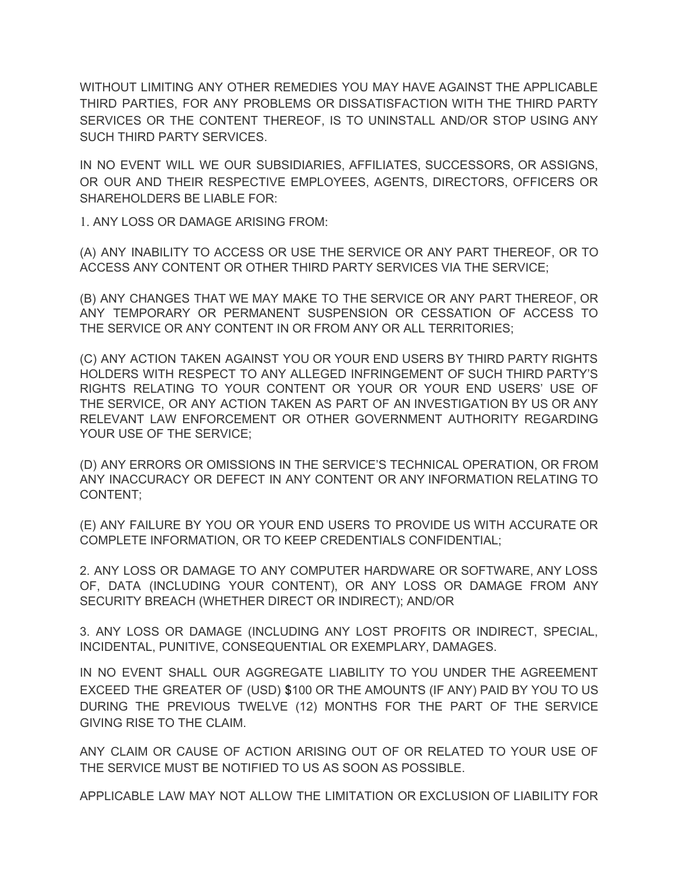WITHOUT LIMITING ANY OTHER REMEDIES YOU MAY HAVE AGAINST THE APPLICABLE THIRD PARTIES, FOR ANY PROBLEMS OR DISSATISFACTION WITH THE THIRD PARTY SERVICES OR THE CONTENT THEREOF, IS TO UNINSTALL AND/OR STOP USING ANY SUCH THIRD PARTY SERVICES.

IN NO EVENT WILL WE OUR SUBSIDIARIES, AFFILIATES, SUCCESSORS, OR ASSIGNS, OR OUR AND THEIR RESPECTIVE EMPLOYEES, AGENTS, DIRECTORS, OFFICERS OR SHAREHOLDERS BE LIABLE FOR:

1. ANY LOSS OR DAMAGE ARISING FROM:

(A) ANY INABILITY TO ACCESS OR USE THE SERVICE OR ANY PART THEREOF, OR TO ACCESS ANY CONTENT OR OTHER THIRD PARTY SERVICES VIA THE SERVICE;

(B) ANY CHANGES THAT WE MAY MAKE TO THE SERVICE OR ANY PART THEREOF, OR ANY TEMPORARY OR PERMANENT SUSPENSION OR CESSATION OF ACCESS TO THE SERVICE OR ANY CONTENT IN OR FROM ANY OR ALL TERRITORIES;

(C) ANY ACTION TAKEN AGAINST YOU OR YOUR END USERS BY THIRD PARTY RIGHTS HOLDERS WITH RESPECT TO ANY ALLEGED INFRINGEMENT OF SUCH THIRD PARTY'S RIGHTS RELATING TO YOUR CONTENT OR YOUR OR YOUR END USERS' USE OF THE SERVICE, OR ANY ACTION TAKEN AS PART OF AN INVESTIGATION BY US OR ANY RELEVANT LAW ENFORCEMENT OR OTHER GOVERNMENT AUTHORITY REGARDING YOUR USE OF THE SERVICE;

(D) ANY ERRORS OR OMISSIONS IN THE SERVICE'S TECHNICAL OPERATION, OR FROM ANY INACCURACY OR DEFECT IN ANY CONTENT OR ANY INFORMATION RELATING TO CONTENT;

(E) ANY FAILURE BY YOU OR YOUR END USERS TO PROVIDE US WITH ACCURATE OR COMPLETE INFORMATION, OR TO KEEP CREDENTIALS CONFIDENTIAL;

2. ANY LOSS OR DAMAGE TO ANY COMPUTER HARDWARE OR SOFTWARE, ANY LOSS OF, DATA (INCLUDING YOUR CONTENT), OR ANY LOSS OR DAMAGE FROM ANY SECURITY BREACH (WHETHER DIRECT OR INDIRECT); AND/OR

3. ANY LOSS OR DAMAGE (INCLUDING ANY LOST PROFITS OR INDIRECT, SPECIAL, INCIDENTAL, PUNITIVE, CONSEQUENTIAL OR EXEMPLARY, DAMAGES.

IN NO EVENT SHALL OUR AGGREGATE LIABILITY TO YOU UNDER THE AGREEMENT EXCEED THE GREATER OF (USD) \$100 OR THE AMOUNTS (IF ANY) PAID BY YOU TO US DURING THE PREVIOUS TWELVE (12) MONTHS FOR THE PART OF THE SERVICE GIVING RISE TO THE CLAIM.

ANY CLAIM OR CAUSE OF ACTION ARISING OUT OF OR RELATED TO YOUR USE OF THE SERVICE MUST BE NOTIFIED TO US AS SOON AS POSSIBLE.

APPLICABLE LAW MAY NOT ALLOW THE LIMITATION OR EXCLUSION OF LIABILITY FOR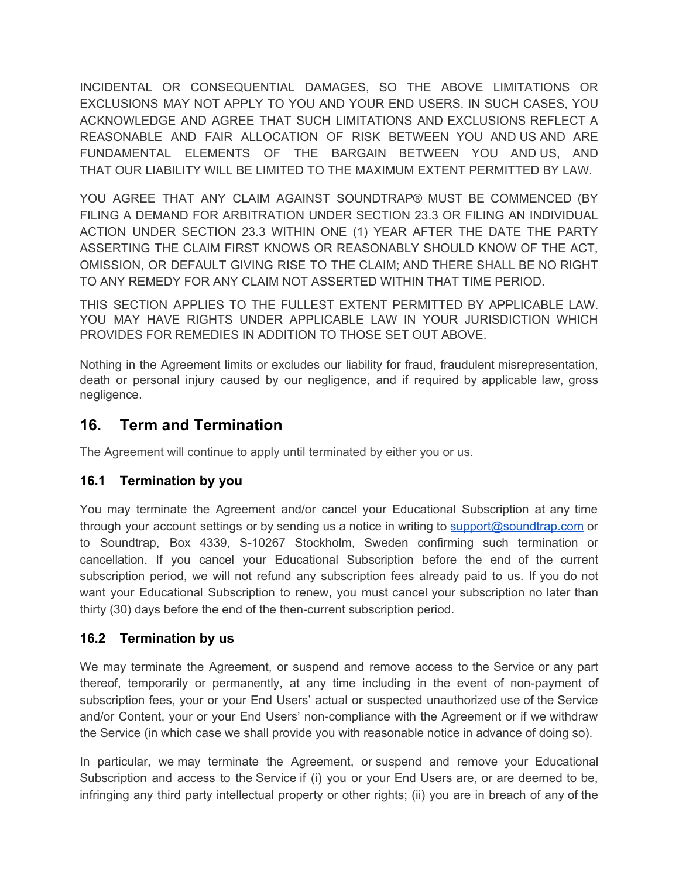INCIDENTAL OR CONSEQUENTIAL DAMAGES, SO THE ABOVE LIMITATIONS OR EXCLUSIONS MAY NOT APPLY TO YOU AND YOUR END USERS. IN SUCH CASES, YOU ACKNOWLEDGE AND AGREE THAT SUCH LIMITATIONS AND EXCLUSIONS REFLECT A REASONABLE AND FAIR ALLOCATION OF RISK BETWEEN YOU AND US AND ARE FUNDAMENTAL ELEMENTS OF THE BARGAIN BETWEEN YOU AND US, AND THAT OUR LIABILITY WILL BE LIMITED TO THE MAXIMUM EXTENT PERMITTED BY LAW.

YOU AGREE THAT ANY CLAIM AGAINST SOUNDTRAP® MUST BE COMMENCED (BY FILING A DEMAND FOR ARBITRATION UNDER SECTION 23.3 OR FILING AN INDIVIDUAL ACTION UNDER SECTION 23.3 WITHIN ONE (1) YEAR AFTER THE DATE THE PARTY ASSERTING THE CLAIM FIRST KNOWS OR REASONABLY SHOULD KNOW OF THE ACT, OMISSION, OR DEFAULT GIVING RISE TO THE CLAIM; AND THERE SHALL BE NO RIGHT TO ANY REMEDY FOR ANY CLAIM NOT ASSERTED WITHIN THAT TIME PERIOD.

THIS SECTION APPLIES TO THE FULLEST EXTENT PERMITTED BY APPLICABLE LAW. YOU MAY HAVE RIGHTS UNDER APPLICABLE LAW IN YOUR JURISDICTION WHICH PROVIDES FOR REMEDIES IN ADDITION TO THOSE SET OUT ABOVE.

Nothing in the Agreement limits or excludes our liability for fraud, fraudulent misrepresentation, death or personal injury caused by our negligence, and if required by applicable law, gross negligence.

## <span id="page-12-0"></span>**16. Term and Termination**

The Agreement will continue to apply until terminated by either you or us.

## **16.1 Termination by you**

You may terminate the Agreement and/or cancel your Educational Subscription at any time through your account settings or by sending us a notice in writing to [support@soundtrap.com](mailto:support@soundtrap.com) or to Soundtrap, Box 4339, S-10267 Stockholm, Sweden confirming such termination or cancellation. If you cancel your Educational Subscription before the end of the current subscription period, we will not refund any subscription fees already paid to us. If you do not want your Educational Subscription to renew, you must cancel your subscription no later than thirty (30) days before the end of the then-current subscription period.

## **16.2 Termination by us**

We may terminate the Agreement, or suspend and remove access to the Service or any part thereof, temporarily or permanently, at any time including in the event of non-payment of subscription fees, your or your End Users' actual or suspected unauthorized use of the Service and/or Content, your or your End Users' non-compliance with the Agreement or if we withdraw the Service (in which case we shall provide you with reasonable notice in advance of doing so).

In particular, we may terminate the Agreement, or suspend and remove your Educational Subscription and access to the Service if (i) you or your End Users are, or are deemed to be, infringing any third party intellectual property or other rights; (ii) you are in breach of any of the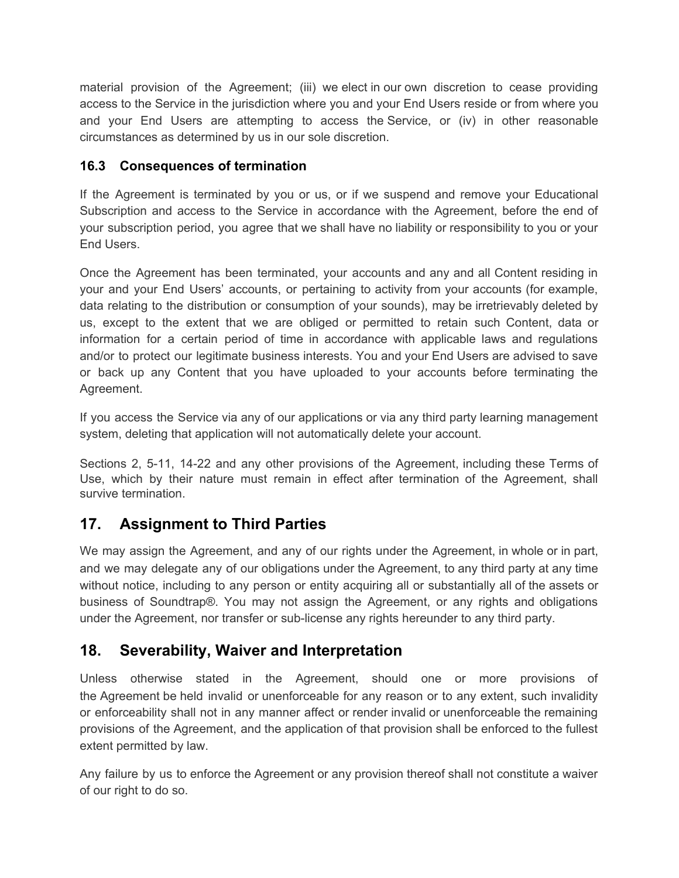material provision of the Agreement; (iii) we elect in our own discretion to cease providing access to the Service in the jurisdiction where you and your End Users reside or from where you and your End Users are attempting to access the Service, or (iv) in other reasonable circumstances as determined by us in our sole discretion.

## **16.3 Consequences of termination**

If the Agreement is terminated by you or us, or if we suspend and remove your Educational Subscription and access to the Service in accordance with the Agreement, before the end of your subscription period, you agree that we shall have no liability or responsibility to you or your End Users.

Once the Agreement has been terminated, your accounts and any and all Content residing in your and your End Users' accounts, or pertaining to activity from your accounts (for example, data relating to the distribution or consumption of your sounds), may be irretrievably deleted by us, except to the extent that we are obliged or permitted to retain such Content, data or information for a certain period of time in accordance with applicable laws and regulations and/or to protect our legitimate business interests. You and your End Users are advised to save or back up any Content that you have uploaded to your accounts before terminating the Agreement.

If you access the Service via any of our applications or via any third party learning management system, deleting that application will not automatically delete your account.

Sections 2, 5-11, 14-22 and any other provisions of the Agreement, including these Terms of Use, which by their nature must remain in effect after termination of the Agreement, shall survive termination.

## <span id="page-13-0"></span>**17. Assignment to Third Parties**

We may assign the Agreement, and any of our rights under the Agreement, in whole or in part, and we may delegate any of our obligations under the Agreement, to any third party at any time without notice, including to any person or entity acquiring all or substantially all of the assets or business of Soundtrap®. You may not assign the Agreement, or any rights and obligations under the Agreement, nor transfer or sub-license any rights hereunder to any third party.

# <span id="page-13-1"></span>**18. Severability, Waiver and Interpretation**

Unless otherwise stated in the Agreement, should one or more provisions of the Agreement be held invalid or unenforceable for any reason or to any extent, such invalidity or enforceability shall not in any manner affect or render invalid or unenforceable the remaining provisions of the Agreement, and the application of that provision shall be enforced to the fullest extent permitted by law.

Any failure by us to enforce the Agreement or any provision thereof shall not constitute a waiver of our right to do so.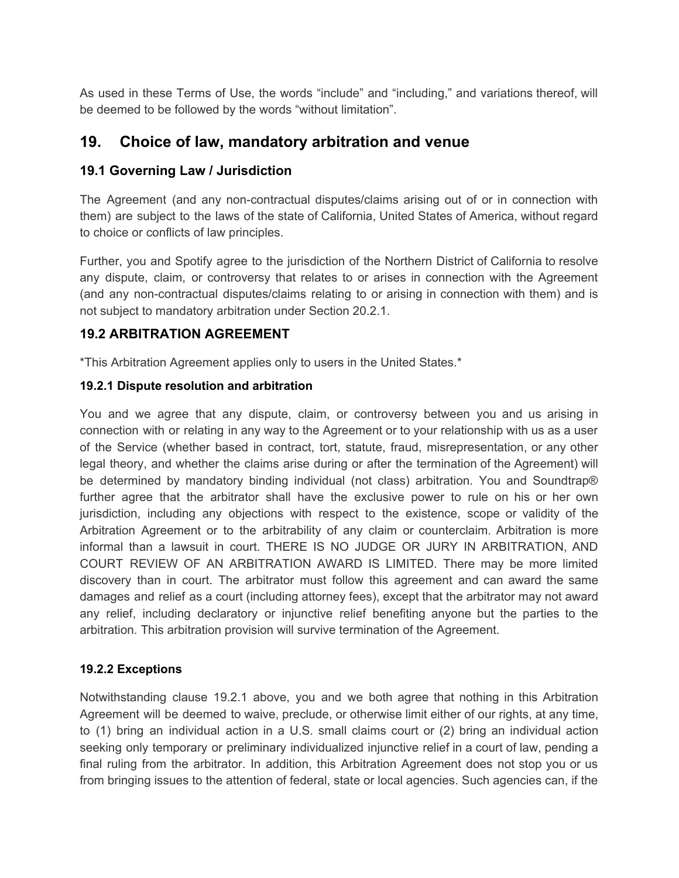As used in these Terms of Use, the words "include" and "including," and variations thereof, will be deemed to be followed by the words "without limitation".

## <span id="page-14-0"></span>**19. Choice of law, mandatory arbitration and venue**

## **19.1 Governing Law / Jurisdiction**

The Agreement (and any non-contractual disputes/claims arising out of or in connection with them) are subject to the laws of the state of California, United States of America, without regard to choice or conflicts of law principles.

Further, you and Spotify agree to the jurisdiction of the Northern District of California to resolve any dispute, claim, or controversy that relates to or arises in connection with the Agreement (and any non-contractual disputes/claims relating to or arising in connection with them) and is not subject to mandatory arbitration under Section 20.2.1.

## **19.2 ARBITRATION AGREEMENT**

\*This Arbitration Agreement applies only to users in the United States.\*

#### **19.2.1 Dispute resolution and arbitration**

You and we agree that any dispute, claim, or controversy between you and us arising in connection with or relating in any way to the Agreement or to your relationship with us as a user of the Service (whether based in contract, tort, statute, fraud, misrepresentation, or any other legal theory, and whether the claims arise during or after the termination of the Agreement) will be determined by mandatory binding individual (not class) arbitration. You and Soundtrap® further agree that the arbitrator shall have the exclusive power to rule on his or her own jurisdiction, including any objections with respect to the existence, scope or validity of the Arbitration Agreement or to the arbitrability of any claim or counterclaim. Arbitration is more informal than a lawsuit in court. THERE IS NO JUDGE OR JURY IN ARBITRATION, AND COURT REVIEW OF AN ARBITRATION AWARD IS LIMITED. There may be more limited discovery than in court. The arbitrator must follow this agreement and can award the same damages and relief as a court (including attorney fees), except that the arbitrator may not award any relief, including declaratory or injunctive relief benefiting anyone but the parties to the arbitration. This arbitration provision will survive termination of the Agreement.

#### **19.2.2 Exceptions**

Notwithstanding clause 19.2.1 above, you and we both agree that nothing in this Arbitration Agreement will be deemed to waive, preclude, or otherwise limit either of our rights, at any time, to (1) bring an individual action in a U.S. small claims court or (2) bring an individual action seeking only temporary or preliminary individualized injunctive relief in a court of law, pending a final ruling from the arbitrator. In addition, this Arbitration Agreement does not stop you or us from bringing issues to the attention of federal, state or local agencies. Such agencies can, if the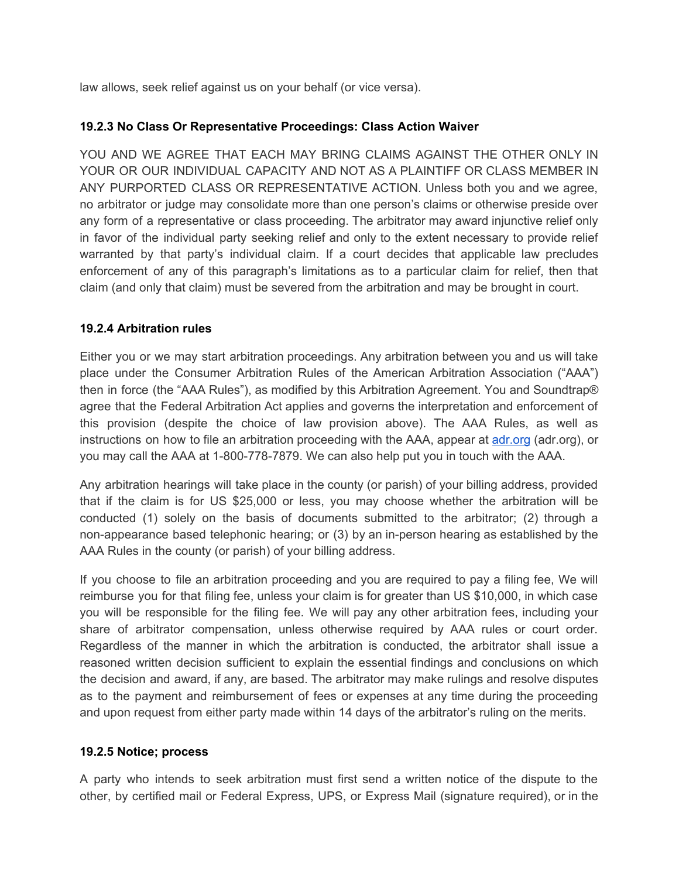law allows, seek relief against us on your behalf (or vice versa).

#### **19.2.3 No Class Or Representative Proceedings: Class Action Waiver**

YOU AND WE AGREE THAT EACH MAY BRING CLAIMS AGAINST THE OTHER ONLY IN YOUR OR OUR INDIVIDUAL CAPACITY AND NOT AS A PLAINTIFF OR CLASS MEMBER IN ANY PURPORTED CLASS OR REPRESENTATIVE ACTION. Unless both you and we agree, no arbitrator or judge may consolidate more than one person's claims or otherwise preside over any form of a representative or class proceeding. The arbitrator may award injunctive relief only in favor of the individual party seeking relief and only to the extent necessary to provide relief warranted by that party's individual claim. If a court decides that applicable law precludes enforcement of any of this paragraph's limitations as to a particular claim for relief, then that claim (and only that claim) must be severed from the arbitration and may be brought in court.

#### **19.2.4 Arbitration rules**

Either you or we may start arbitration proceedings. Any arbitration between you and us will take place under the Consumer Arbitration Rules of the American Arbitration Association ("AAA") then in force (the "AAA Rules"), as modified by this Arbitration Agreement. You and Soundtrap® agree that the Federal Arbitration Act applies and governs the interpretation and enforcement of this provision (despite the choice of law provision above). The AAA Rules, as well as instructions on how to file an arbitration proceeding with the AAA, appear at [adr.org](http://adr.org/) (adr.org), or you may call the AAA at 1-800-778-7879. We can also help put you in touch with the AAA.

Any arbitration hearings will take place in the county (or parish) of your billing address, provided that if the claim is for US \$25,000 or less, you may choose whether the arbitration will be conducted (1) solely on the basis of documents submitted to the arbitrator; (2) through a non-appearance based telephonic hearing; or (3) by an in-person hearing as established by the AAA Rules in the county (or parish) of your billing address.

If you choose to file an arbitration proceeding and you are required to pay a filing fee, We will reimburse you for that filing fee, unless your claim is for greater than US \$10,000, in which case you will be responsible for the filing fee. We will pay any other arbitration fees, including your share of arbitrator compensation, unless otherwise required by AAA rules or court order. Regardless of the manner in which the arbitration is conducted, the arbitrator shall issue a reasoned written decision sufficient to explain the essential findings and conclusions on which the decision and award, if any, are based. The arbitrator may make rulings and resolve disputes as to the payment and reimbursement of fees or expenses at any time during the proceeding and upon request from either party made within 14 days of the arbitrator's ruling on the merits.

#### **19.2.5 Notice; process**

A party who intends to seek arbitration must first send a written notice of the dispute to the other, by certified mail or Federal Express, UPS, or Express Mail (signature required), or in the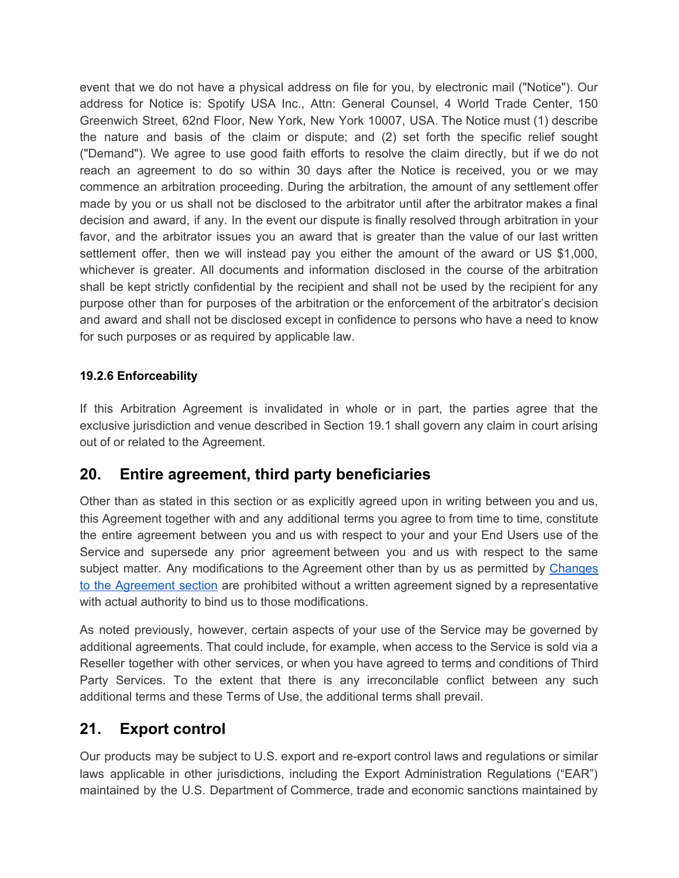event that we do not have a physical address on file for you, by electronic mail ("Notice"). Our address for Notice is: Spotify USA Inc., Attn: General Counsel, 4 World Trade Center, 150 Greenwich Street, 62nd Floor, New York, New York 10007, USA. The Notice must (1) describe the nature and basis of the claim or dispute; and (2) set forth the specific relief sought ("Demand"). We agree to use good faith efforts to resolve the claim directly, but if we do not reach an agreement to do so within 30 days after the Notice is received, you or we may commence an arbitration proceeding. During the arbitration, the amount of any settlement offer made by you or us shall not be disclosed to the arbitrator until after the arbitrator makes a final decision and award, if any. In the event our dispute is finally resolved through arbitration in your favor, and the arbitrator issues you an award that is greater than the value of our last written settlement offer, then we will instead pay you either the amount of the award or US \$1,000, whichever is greater. All documents and information disclosed in the course of the arbitration shall be kept strictly confidential by the recipient and shall not be used by the recipient for any purpose other than for purposes of the arbitration or the enforcement of the arbitrator's decision and award and shall not be disclosed except in confidence to persons who have a need to know for such purposes or as required by applicable law.

#### **19.2.6 Enforceability**

If this Arbitration Agreement is invalidated in whole or in part, the parties agree that the exclusive jurisdiction and venue described in Section 19.1 shall govern any claim in court arising out of or related to the Agreement.

## <span id="page-16-0"></span>**20. Entire agreement, third party beneficiaries**

Other than as stated in this section or as explicitly agreed upon in writing between you and us, this Agreement together with and any additional terms you agree to from time to time, constitute the entire agreement between you and us with respect to your and your End Users use of the Service and supersede any prior agreement between you and us with respect to the same subject matter. Any modifications to the Agreement other than by us as permitted by [Changes](#page-2-0) to the [Agreement](#page-2-0) section are prohibited without a written agreement signed by a representative with actual authority to bind us to those modifications.

As noted previously, however, certain aspects of your use of the Service may be governed by additional agreements. That could include, for example, when access to the Service is sold via a Reseller together with other services, or when you have agreed to terms and conditions of Third Party Services. To the extent that there is any irreconcilable conflict between any such additional terms and these Terms of Use, the additional terms shall prevail.

## <span id="page-16-1"></span>**21. Export control**

Our products may be subject to U.S. export and re-export control laws and regulations or similar laws applicable in other jurisdictions, including the Export Administration Regulations ("EAR") maintained by the U.S. Department of Commerce, trade and economic sanctions maintained by